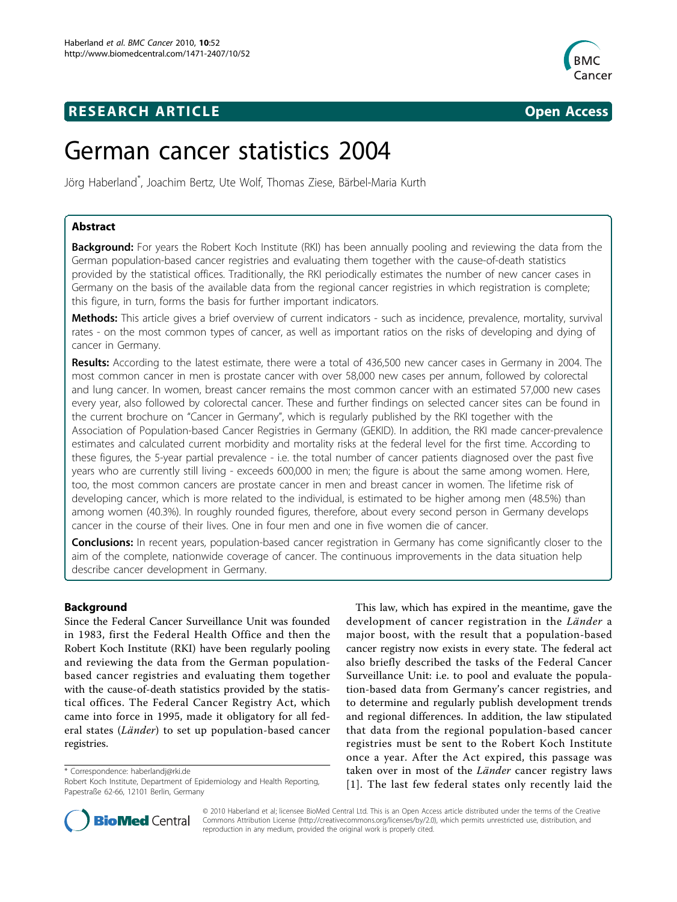# **RESEARCH ARTICLE Example 2014 CONSUMING ACCESS**



# German cancer statistics 2004

Jörg Haberland\* , Joachim Bertz, Ute Wolf, Thomas Ziese, Bärbel-Maria Kurth

# Abstract

**Background:** For years the Robert Koch Institute (RKI) has been annually pooling and reviewing the data from the German population-based cancer registries and evaluating them together with the cause-of-death statistics provided by the statistical offices. Traditionally, the RKI periodically estimates the number of new cancer cases in Germany on the basis of the available data from the regional cancer registries in which registration is complete; this figure, in turn, forms the basis for further important indicators.

Methods: This article gives a brief overview of current indicators - such as incidence, prevalence, mortality, survival rates - on the most common types of cancer, as well as important ratios on the risks of developing and dying of cancer in Germany.

Results: According to the latest estimate, there were a total of 436,500 new cancer cases in Germany in 2004. The most common cancer in men is prostate cancer with over 58,000 new cases per annum, followed by colorectal and lung cancer. In women, breast cancer remains the most common cancer with an estimated 57,000 new cases every year, also followed by colorectal cancer. These and further findings on selected cancer sites can be found in the current brochure on "Cancer in Germany", which is regularly published by the RKI together with the Association of Population-based Cancer Registries in Germany (GEKID). In addition, the RKI made cancer-prevalence estimates and calculated current morbidity and mortality risks at the federal level for the first time. According to these figures, the 5-year partial prevalence - i.e. the total number of cancer patients diagnosed over the past five years who are currently still living - exceeds 600,000 in men; the figure is about the same among women. Here, too, the most common cancers are prostate cancer in men and breast cancer in women. The lifetime risk of developing cancer, which is more related to the individual, is estimated to be higher among men (48.5%) than among women (40.3%). In roughly rounded figures, therefore, about every second person in Germany develops cancer in the course of their lives. One in four men and one in five women die of cancer.

Conclusions: In recent years, population-based cancer registration in Germany has come significantly closer to the aim of the complete, nationwide coverage of cancer. The continuous improvements in the data situation help describe cancer development in Germany.

# Background

Since the Federal Cancer Surveillance Unit was founded in 1983, first the Federal Health Office and then the Robert Koch Institute (RKI) have been regularly pooling and reviewing the data from the German populationbased cancer registries and evaluating them together with the cause-of-death statistics provided by the statistical offices. The Federal Cancer Registry Act, which came into force in 1995, made it obligatory for all federal states (Länder) to set up population-based cancer registries.

\* Correspondence: [haberlandj@rki.de](mailto:haberlandj@rki.de)

This law, which has expired in the meantime, gave the development of cancer registration in the Länder a major boost, with the result that a population-based cancer registry now exists in every state. The federal act also briefly described the tasks of the Federal Cancer Surveillance Unit: i.e. to pool and evaluate the population-based data from Germany's cancer registries, and to determine and regularly publish development trends and regional differences. In addition, the law stipulated that data from the regional population-based cancer registries must be sent to the Robert Koch Institute once a year. After the Act expired, this passage was taken over in most of the *Länder* cancer registry laws [[1](#page-8-0)]. The last few federal states only recently laid the



© 2010 Haberland et al; licensee BioMed Central Ltd. This is an Open Access article distributed under the terms of the Creative Commons Attribution License [\(http://creativecommons.org/licenses/by/2.0](http://creativecommons.org/licenses/by/2.0)), which permits unrestricted use, distribution, and reproduction in any medium, provided the original work is properly cited.

Robert Koch Institute, Department of Epidemiology and Health Reporting, Papestraße 62-66, 12101 Berlin, Germany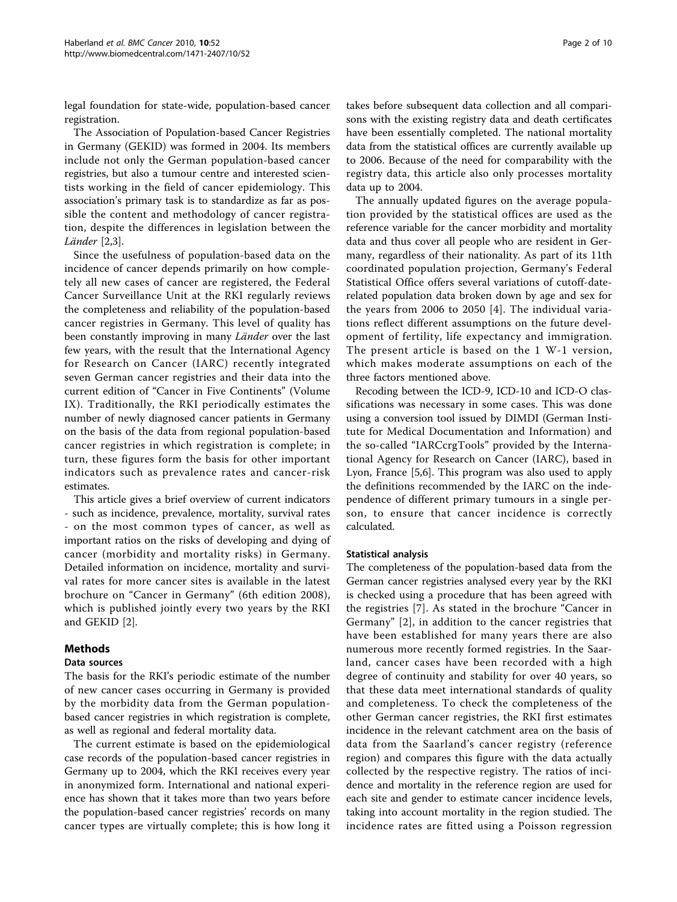legal foundation for state-wide, population-based cancer registration.

The Association of Population-based Cancer Registries in Germany (GEKID) was formed in 2004. Its members include not only the German population-based cancer registries, but also a tumour centre and interested scientists working in the field of cancer epidemiology. This association's primary task is to standardize as far as possible the content and methodology of cancer registration, despite the differences in legislation between the Länder [[2,3\]](#page-8-0).

Since the usefulness of population-based data on the incidence of cancer depends primarily on how completely all new cases of cancer are registered, the Federal Cancer Surveillance Unit at the RKI regularly reviews the completeness and reliability of the population-based cancer registries in Germany. This level of quality has been constantly improving in many Länder over the last few years, with the result that the International Agency for Research on Cancer (IARC) recently integrated seven German cancer registries and their data into the current edition of "Cancer in Five Continents" (Volume IX). Traditionally, the RKI periodically estimates the number of newly diagnosed cancer patients in Germany on the basis of the data from regional population-based cancer registries in which registration is complete; in turn, these figures form the basis for other important indicators such as prevalence rates and cancer-risk estimates.

This article gives a brief overview of current indicators - such as incidence, prevalence, mortality, survival rates - on the most common types of cancer, as well as important ratios on the risks of developing and dying of cancer (morbidity and mortality risks) in Germany. Detailed information on incidence, mortality and survival rates for more cancer sites is available in the latest brochure on "Cancer in Germany" (6th edition 2008), which is published jointly every two years by the RKI and GEKID [[2\]](#page-8-0).

# Methods

## Data sources

The basis for the RKI's periodic estimate of the number of new cancer cases occurring in Germany is provided by the morbidity data from the German populationbased cancer registries in which registration is complete, as well as regional and federal mortality data.

The current estimate is based on the epidemiological case records of the population-based cancer registries in Germany up to 2004, which the RKI receives every year in anonymized form. International and national experience has shown that it takes more than two years before the population-based cancer registries' records on many cancer types are virtually complete; this is how long it

takes before subsequent data collection and all comparisons with the existing registry data and death certificates have been essentially completed. The national mortality data from the statistical offices are currently available up to 2006. Because of the need for comparability with the registry data, this article also only processes mortality data up to 2004.

The annually updated figures on the average population provided by the statistical offices are used as the reference variable for the cancer morbidity and mortality data and thus cover all people who are resident in Germany, regardless of their nationality. As part of its 11th coordinated population projection, Germany's Federal Statistical Office offers several variations of cutoff-daterelated population data broken down by age and sex for the years from 2006 to 2050 [[4](#page-8-0)]. The individual variations reflect different assumptions on the future development of fertility, life expectancy and immigration. The present article is based on the 1 W-1 version, which makes moderate assumptions on each of the three factors mentioned above.

Recoding between the ICD-9, ICD-10 and ICD-O classifications was necessary in some cases. This was done using a conversion tool issued by DIMDI (German Institute for Medical Documentation and Information) and the so-called "IARCcrgTools" provided by the International Agency for Research on Cancer (IARC), based in Lyon, France [[5,6\]](#page-8-0). This program was also used to apply the definitions recommended by the IARC on the independence of different primary tumours in a single person, to ensure that cancer incidence is correctly calculated.

#### Statistical analysis

The completeness of the population-based data from the German cancer registries analysed every year by the RKI is checked using a procedure that has been agreed with the registries [\[7](#page-8-0)]. As stated in the brochure "Cancer in Germany" [\[2](#page-8-0)], in addition to the cancer registries that have been established for many years there are also numerous more recently formed registries. In the Saarland, cancer cases have been recorded with a high degree of continuity and stability for over 40 years, so that these data meet international standards of quality and completeness. To check the completeness of the other German cancer registries, the RKI first estimates incidence in the relevant catchment area on the basis of data from the Saarland's cancer registry (reference region) and compares this figure with the data actually collected by the respective registry. The ratios of incidence and mortality in the reference region are used for each site and gender to estimate cancer incidence levels, taking into account mortality in the region studied. The incidence rates are fitted using a Poisson regression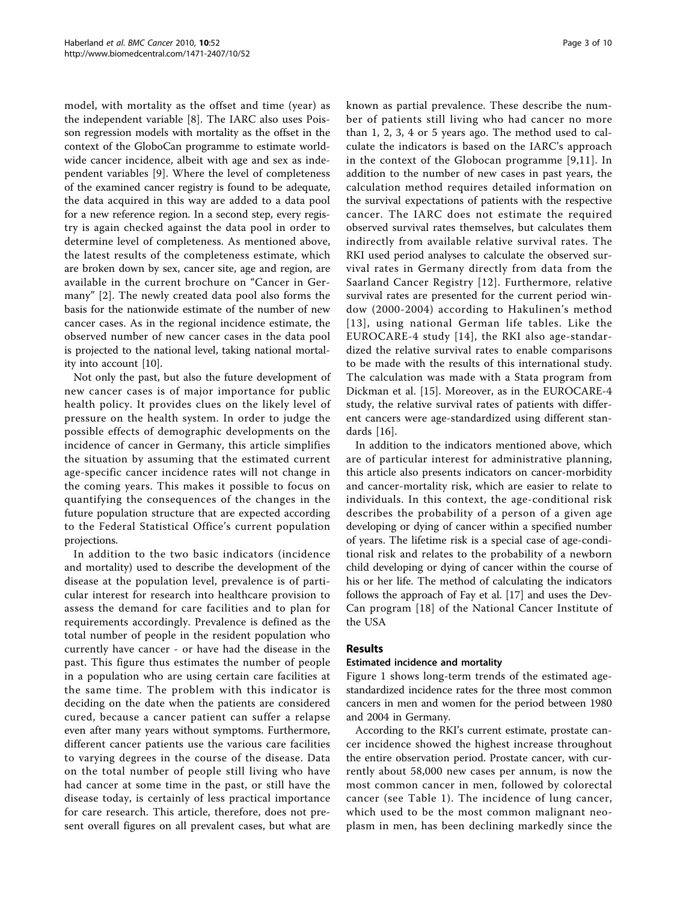model, with mortality as the offset and time (year) as the independent variable [[8\]](#page-8-0). The IARC also uses Poisson regression models with mortality as the offset in the context of the GloboCan programme to estimate worldwide cancer incidence, albeit with age and sex as independent variables [[9\]](#page-8-0). Where the level of completeness of the examined cancer registry is found to be adequate, the data acquired in this way are added to a data pool for a new reference region. In a second step, every registry is again checked against the data pool in order to determine level of completeness. As mentioned above, the latest results of the completeness estimate, which are broken down by sex, cancer site, age and region, are available in the current brochure on "Cancer in Germany" [[2](#page-8-0)]. The newly created data pool also forms the basis for the nationwide estimate of the number of new cancer cases. As in the regional incidence estimate, the observed number of new cancer cases in the data pool is projected to the national level, taking national mortality into account [[10\]](#page-8-0).

Not only the past, but also the future development of new cancer cases is of major importance for public health policy. It provides clues on the likely level of pressure on the health system. In order to judge the possible effects of demographic developments on the incidence of cancer in Germany, this article simplifies the situation by assuming that the estimated current age-specific cancer incidence rates will not change in the coming years. This makes it possible to focus on quantifying the consequences of the changes in the future population structure that are expected according to the Federal Statistical Office's current population projections.

In addition to the two basic indicators (incidence and mortality) used to describe the development of the disease at the population level, prevalence is of particular interest for research into healthcare provision to assess the demand for care facilities and to plan for requirements accordingly. Prevalence is defined as the total number of people in the resident population who currently have cancer - or have had the disease in the past. This figure thus estimates the number of people in a population who are using certain care facilities at the same time. The problem with this indicator is deciding on the date when the patients are considered cured, because a cancer patient can suffer a relapse even after many years without symptoms. Furthermore, different cancer patients use the various care facilities to varying degrees in the course of the disease. Data on the total number of people still living who have had cancer at some time in the past, or still have the disease today, is certainly of less practical importance for care research. This article, therefore, does not present overall figures on all prevalent cases, but what are known as partial prevalence. These describe the number of patients still living who had cancer no more than 1, 2, 3, 4 or 5 years ago. The method used to calculate the indicators is based on the IARC's approach in the context of the Globocan programme [[9](#page-8-0),[11](#page-8-0)]. In addition to the number of new cases in past years, the calculation method requires detailed information on the survival expectations of patients with the respective cancer. The IARC does not estimate the required observed survival rates themselves, but calculates them indirectly from available relative survival rates. The RKI used period analyses to calculate the observed survival rates in Germany directly from data from the Saarland Cancer Registry [[12](#page-8-0)]. Furthermore, relative survival rates are presented for the current period window (2000-2004) according to Hakulinen's method [[13](#page-8-0)], using national German life tables. Like the EUROCARE-4 study [\[14](#page-8-0)], the RKI also age-standardized the relative survival rates to enable comparisons to be made with the results of this international study. The calculation was made with a Stata program from Dickman et al. [[15\]](#page-8-0). Moreover, as in the EUROCARE-4 study, the relative survival rates of patients with different cancers were age-standardized using different standards [[16](#page-8-0)].

In addition to the indicators mentioned above, which are of particular interest for administrative planning, this article also presents indicators on cancer-morbidity and cancer-mortality risk, which are easier to relate to individuals. In this context, the age-conditional risk describes the probability of a person of a given age developing or dying of cancer within a specified number of years. The lifetime risk is a special case of age-conditional risk and relates to the probability of a newborn child developing or dying of cancer within the course of his or her life. The method of calculating the indicators follows the approach of Fay et al. [\[17\]](#page-8-0) and uses the Dev-Can program [[18](#page-8-0)] of the National Cancer Institute of the USA

#### Results

#### Estimated incidence and mortality

Figure [1](#page-3-0) shows long-term trends of the estimated agestandardized incidence rates for the three most common cancers in men and women for the period between 1980 and 2004 in Germany.

According to the RKI's current estimate, prostate cancer incidence showed the highest increase throughout the entire observation period. Prostate cancer, with currently about 58,000 new cases per annum, is now the most common cancer in men, followed by colorectal cancer (see Table [1](#page-3-0)). The incidence of lung cancer, which used to be the most common malignant neoplasm in men, has been declining markedly since the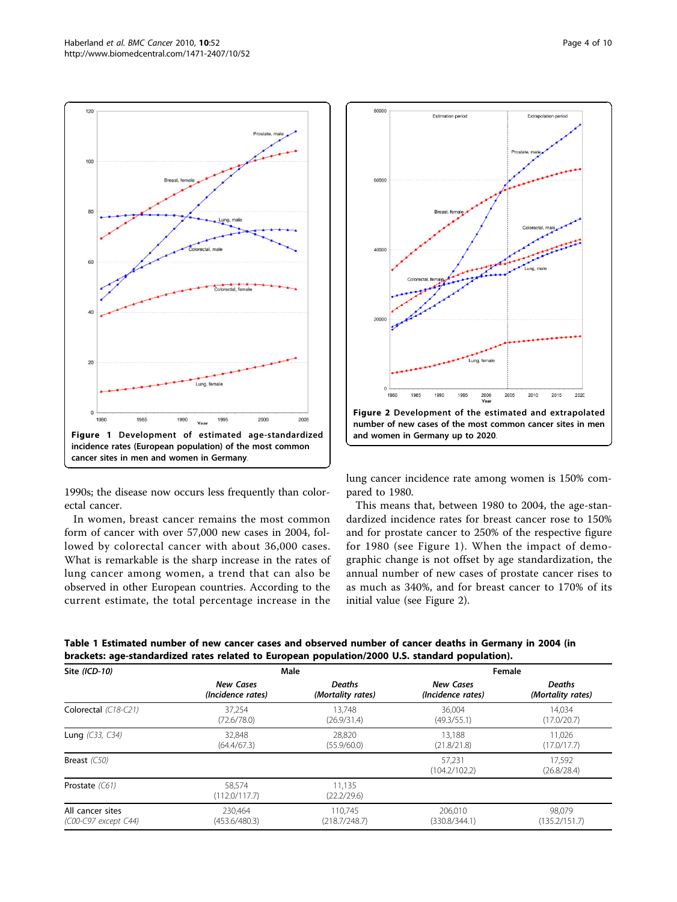<span id="page-3-0"></span>

1990s; the disease now occurs less frequently than colorectal cancer.

In women, breast cancer remains the most common form of cancer with over 57,000 new cases in 2004, followed by colorectal cancer with about 36,000 cases. What is remarkable is the sharp increase in the rates of lung cancer among women, a trend that can also be observed in other European countries. According to the current estimate, the total percentage increase in the



lung cancer incidence rate among women is 150% compared to 1980.

This means that, between 1980 to 2004, the age-standardized incidence rates for breast cancer rose to 150% and for prostate cancer to 250% of the respective figure for 1980 (see Figure 1). When the impact of demographic change is not offset by age standardization, the annual number of new cases of prostate cancer rises to as much as 340%, and for breast cancer to 170% of its initial value (see Figure 2).

Table 1 Estimated number of new cancer cases and observed number of cancer deaths in Germany in 2004 (in brackets: age-standardized rates related to European population/2000 U.S. standard population).

| Site (ICD-10)        |                         | Male                  |                         | Female                |  |
|----------------------|-------------------------|-----------------------|-------------------------|-----------------------|--|
|                      | <b>New Cases</b>        | <b>Deaths</b>         | <b>New Cases</b>        | <b>Deaths</b>         |  |
|                      | (Incidence rates)       | (Mortality rates)     | (Incidence rates)       | (Mortality rates)     |  |
| Colorectal (C18-C21) | 37.254                  | 13.748                | 36.004                  | 14.034                |  |
|                      | (72.6/78.0)             | (26.9/31.4)           | (49.3/55.1)             | (17.0/20.7)           |  |
| Lung (C33, C34)      | 32,848                  | 28.820                | 13.188                  | 11.026                |  |
|                      | (64.4/67.3)             | (55.9/60.0)           | (21.8/21.8)             | (17.0/17.7)           |  |
| Breast (C50)         |                         |                       | 57.231<br>(104.2/102.2) | 17.592<br>(26.8/28.4) |  |
| Prostate (C61)       | 58.574<br>(112.0/117.7) | 11,135<br>(22.2/29.6) |                         |                       |  |
| All cancer sites     | 230.464                 | 110.745               | 206.010                 | 98.079                |  |
| (C00-C97 except C44) | (453.6/480.3)           | (218.7/248.7)         | (330.8/344.1)           | (135.2/151.7)         |  |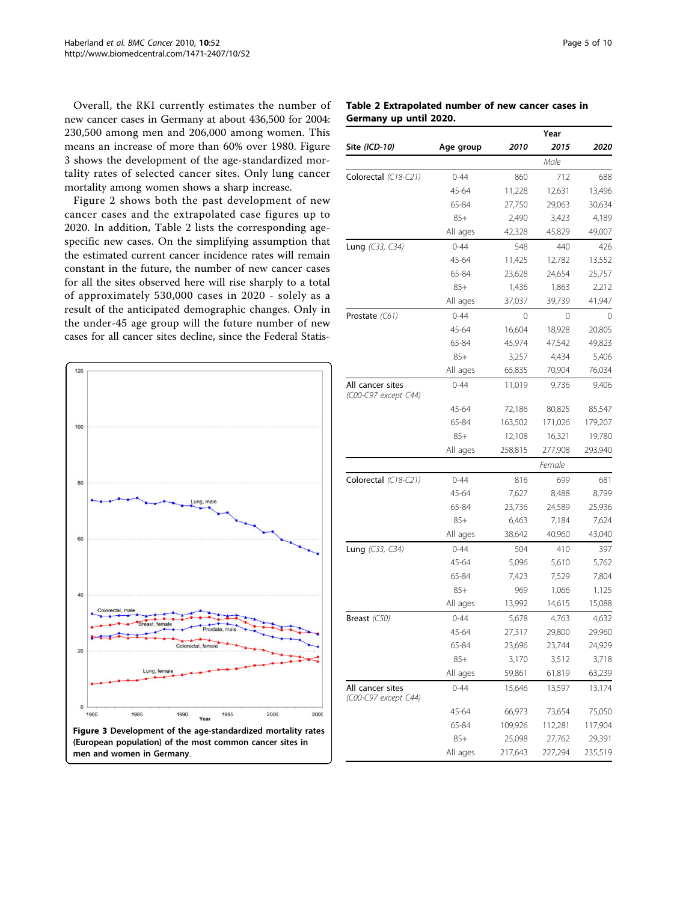Overall, the RKI currently estimates the number of new cancer cases in Germany at about 436,500 for 2004: 230,500 among men and 206,000 among women. This means an increase of more than 60% over 1980. Figure 3 shows the development of the age-standardized mortality rates of selected cancer sites. Only lung cancer mortality among women shows a sharp increase.

Figure [2](#page-3-0) shows both the past development of new cancer cases and the extrapolated case figures up to 2020. In addition, Table 2 lists the corresponding agespecific new cases. On the simplifying assumption that the estimated current cancer incidence rates will remain constant in the future, the number of new cancer cases for all the sites observed here will rise sharply to a total of approximately 530,000 cases in 2020 - solely as a result of the anticipated demographic changes. Only in the under-45 age group will the future number of new cases for all cancer sites decline, since the Federal Statis-



Table 2 Extrapolated number of new cancer cases in Germany up until 2020.

|                                          |           |         | Year    |         |
|------------------------------------------|-----------|---------|---------|---------|
| Site (ICD-10)                            | Age group | 2010    | 2015    | 2020    |
|                                          |           |         | Male    |         |
| Colorectal (C18-C21)                     | $0 - 44$  | 860     | 712     | 688     |
|                                          | 45-64     | 11,228  | 12,631  | 13,496  |
|                                          | 65-84     | 27,750  | 29,063  | 30,634  |
|                                          | $85+$     | 2,490   | 3,423   | 4,189   |
|                                          | All ages  | 42,328  | 45,829  | 49,007  |
| Lung (C33, C34)                          | $0 - 44$  | 548     | 440     | 426     |
|                                          | 45-64     | 11,425  | 12,782  | 13,552  |
|                                          | 65-84     | 23,628  | 24,654  | 25,757  |
|                                          | $85+$     | 1,436   | 1,863   | 2,212   |
|                                          | All ages  | 37,037  | 39,739  | 41,947  |
| Prostate (C61)                           | $0 - 44$  | 0       | 0       | 0       |
|                                          | 45-64     | 16,604  | 18,928  | 20,805  |
|                                          | 65-84     | 45,974  | 47,542  | 49,823  |
|                                          | $85+$     | 3,257   | 4,434   | 5,406   |
|                                          | All ages  | 65,835  | 70,904  | 76,034  |
| All cancer sites<br>(C00-C97 except C44) | $0 - 44$  | 11,019  | 9,736   | 9,406   |
|                                          | 45-64     | 72,186  | 80,825  | 85,547  |
|                                          | 65-84     | 163,502 | 171,026 | 179,207 |
|                                          | $85+$     | 12,108  | 16,321  | 19,780  |
|                                          | All ages  | 258,815 | 277,908 | 293,940 |
|                                          |           |         | Female  |         |
| Colorectal (C18-C21)                     | $0 - 44$  | 816     | 699     | 681     |
|                                          | 45-64     | 7,627   | 8,488   | 8,799   |
|                                          | 65-84     | 23,736  | 24,589  | 25,936  |
|                                          | $85+$     | 6,463   | 7,184   | 7,624   |
|                                          | All ages  | 38,642  | 40,960  | 43,040  |
| Lung (C33, C34)                          | $0 - 44$  | 504     | 410     | 397     |
|                                          | 45-64     | 5,096   | 5,610   | 5,762   |
|                                          | 65-84     | 7,423   | 7,529   | 7,804   |
|                                          | $85+$     | 969     | 1,066   | 1,125   |
|                                          | All ages  | 13,992  | 14,615  | 15,088  |
| Breast (C50)                             | $0 - 44$  | 5,678   | 4,763   | 4,632   |
|                                          | 45-64     | 27,317  | 29,800  | 29,960  |
|                                          | 65-84     | 23,696  | 23,744  | 24,929  |
|                                          | $85+$     | 3,170   | 3,512   | 3,718   |
|                                          | All ages  | 59,861  | 61,819  | 63,239  |
| All cancer sites<br>(C00-C97 except C44) | $0 - 44$  | 15,646  | 13,597  | 13,174  |
|                                          | 45-64     | 66,973  | 73,654  | 75,050  |
|                                          | 65-84     | 109,926 | 112,281 | 117,904 |
|                                          | $85+$     | 25,098  | 27,762  | 29,391  |
|                                          | All ages  | 217,643 | 227,294 | 235,519 |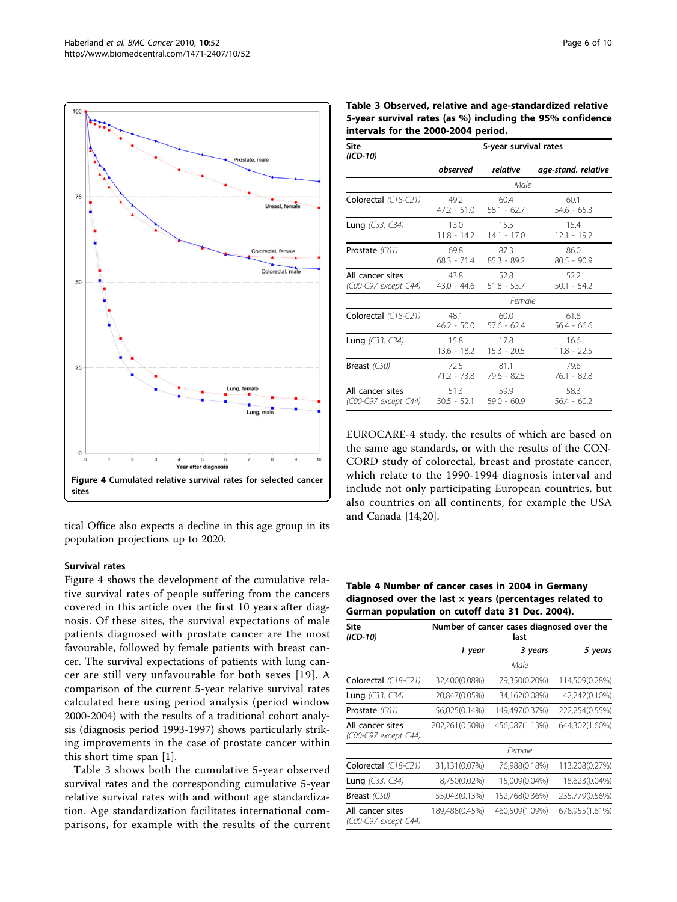<span id="page-5-0"></span>

tical Office also expects a decline in this age group in its population projections up to 2020.

#### Survival rates

Figure 4 shows the development of the cumulative relative survival rates of people suffering from the cancers covered in this article over the first 10 years after diagnosis. Of these sites, the survival expectations of male patients diagnosed with prostate cancer are the most favourable, followed by female patients with breast cancer. The survival expectations of patients with lung cancer are still very unfavourable for both sexes [[19\]](#page-8-0). A comparison of the current 5-year relative survival rates calculated here using period analysis (period window 2000-2004) with the results of a traditional cohort analysis (diagnosis period 1993-1997) shows particularly striking improvements in the case of prostate cancer within this short time span [\[1](#page-8-0)].

Table 3 shows both the cumulative 5-year observed survival rates and the corresponding cumulative 5-year relative survival rates with and without age standardization. Age standardization facilitates international comparisons, for example with the results of the current

| Table 3 Observed, relative and age-standardized relative  |  |
|-----------------------------------------------------------|--|
| 5-year survival rates (as %) including the 95% confidence |  |
| intervals for the 2000-2004 period.                       |  |

| Site<br>(ICD-10)     | 5-year survival rates |               |                     |  |
|----------------------|-----------------------|---------------|---------------------|--|
|                      | observed              | relative      | age-stand. relative |  |
|                      |                       | Male          |                     |  |
| Colorectal (C18-C21) | 49.2                  | 60.4          | 60.1                |  |
|                      | 47.2 - 51.0           | 58.1 - 62.7   | $54.6 - 65.3$       |  |
| Lung (C33, C34)      | 13.0                  | 15.5          | 15.4                |  |
|                      | 11.8 - 14.2           | $14.1 - 17.0$ | $12.1 - 19.2$       |  |
| Prostate (C61)       | 69.8                  | 87.3          | 86.0                |  |
|                      | 68.3 - 71.4           | $85.3 - 89.2$ | $80.5 - 90.9$       |  |
| All cancer sites     | 43.8                  | 52.8          | 52.2                |  |
| (C00-C97 except C44) | 43.0 - 44.6           | $51.8 - 53.7$ | $50.1 - 54.2$       |  |
|                      |                       | Female        |                     |  |
| Colorectal (C18-C21) | 48.1                  | 60.0          | 61.8                |  |
|                      | $46.2 - 50.0$         | $57.6 - 62.4$ | $56.4 - 66.6$       |  |
| Lung (C33, C34)      | 15.8                  | 17.8          | 16.6                |  |
|                      | 13.6 - 18.2           | $15.3 - 20.5$ | $11.8 - 22.5$       |  |
| Breast (C50)         | 72.5                  | 81.1          | 79.6                |  |
|                      | $71.2 - 73.8$         | 79.6 - 82.5   | $76.1 - 82.8$       |  |
| All cancer sites     | 51.3                  | 59.9          | 58.3                |  |
| (C00-C97 except C44) | $50.5 - 52.1$         | $59.0 - 60.9$ | $56.4 - 60.2$       |  |

EUROCARE-4 study, the results of which are based on the same age standards, or with the results of the CON-CORD study of colorectal, breast and prostate cancer, which relate to the 1990-1994 diagnosis interval and include not only participating European countries, but also countries on all continents, for example the USA and Canada [[14](#page-8-0),[20](#page-8-0)].

Table 4 Number of cancer cases in 2004 in Germany diagnosed over the last  $\times$  years (percentages related to German population on cutoff date 31 Dec. 2004).

| Site<br>$(ICD-10)$                       | Number of cancer cases diagnosed over the<br>last |                |                |  |  |
|------------------------------------------|---------------------------------------------------|----------------|----------------|--|--|
|                                          | 1 year                                            | 3 years        | 5 years        |  |  |
|                                          |                                                   | Male           |                |  |  |
| Colorectal (C18-C21)                     | 32,400(0.08%)                                     | 79,350(0.20%)  | 114,509(0.28%) |  |  |
| <b>Lung</b> (C33, C34)                   | 20,847(0.05%)                                     | 34,162(0.08%)  | 42,242(0.10%)  |  |  |
| Prostate (C61)                           | 56,025(0.14%)                                     | 149,497(0.37%) | 222,254(0.55%) |  |  |
| All cancer sites<br>(C00-C97 except C44) | 202,261(0.50%)                                    | 456,087(1.13%) | 644,302(1.60%) |  |  |
|                                          |                                                   | Female         |                |  |  |
| Colorectal (C18-C21)                     | 31,131(0.07%)                                     | 76,988(0.18%)  | 113,208(0.27%) |  |  |
| Lung (C33, C34)                          | 8,750(0.02%)                                      | 15,009(0.04%)  | 18,623(0.04%)  |  |  |
| Breast (C50)                             | 55,043(0.13%)                                     | 152,768(0.36%) | 235,779(0.56%) |  |  |
| All cancer sites<br>(C00-C97 except C44) | 189,488(0.45%)                                    | 460,509(1.09%) | 678,955(1.61%) |  |  |
|                                          |                                                   |                |                |  |  |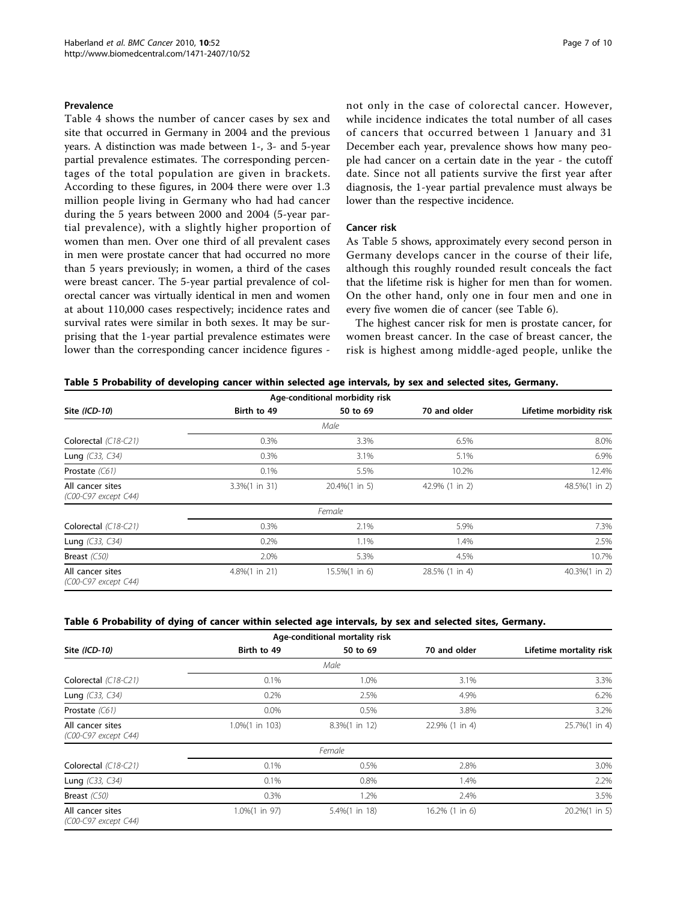# <span id="page-6-0"></span>Prevalence

Table [4](#page-5-0) shows the number of cancer cases by sex and site that occurred in Germany in 2004 and the previous years. A distinction was made between 1-, 3- and 5-year partial prevalence estimates. The corresponding percentages of the total population are given in brackets. According to these figures, in 2004 there were over 1.3 million people living in Germany who had had cancer during the 5 years between 2000 and 2004 (5-year partial prevalence), with a slightly higher proportion of women than men. Over one third of all prevalent cases in men were prostate cancer that had occurred no more than 5 years previously; in women, a third of the cases were breast cancer. The 5-year partial prevalence of colorectal cancer was virtually identical in men and women at about 110,000 cases respectively; incidence rates and survival rates were similar in both sexes. It may be surprising that the 1-year partial prevalence estimates were lower than the corresponding cancer incidence figures -

not only in the case of colorectal cancer. However, while incidence indicates the total number of all cases of cancers that occurred between 1 January and 31 December each year, prevalence shows how many people had cancer on a certain date in the year - the cutoff date. Since not all patients survive the first year after diagnosis, the 1-year partial prevalence must always be lower than the respective incidence.

#### Cancer risk

As Table 5 shows, approximately every second person in Germany develops cancer in the course of their life, although this roughly rounded result conceals the fact that the lifetime risk is higher for men than for women. On the other hand, only one in four men and one in every five women die of cancer (see Table 6).

The highest cancer risk for men is prostate cancer, for women breast cancer. In the case of breast cancer, the risk is highest among middle-aged people, unlike the

| Table 5 Probability of developing cancer within selected age intervals, by sex and selected sites, Germany. |  |  |  |  |
|-------------------------------------------------------------------------------------------------------------|--|--|--|--|
|-------------------------------------------------------------------------------------------------------------|--|--|--|--|

| Age-conditional morbidity risk           |                              |               |                |                         |  |  |
|------------------------------------------|------------------------------|---------------|----------------|-------------------------|--|--|
| Site (ICD-10)                            | Birth to 49                  | 50 to 69      | 70 and older   | Lifetime morbidity risk |  |  |
|                                          |                              | Male          |                |                         |  |  |
| Colorectal (C18-C21)                     | 0.3%                         | 3.3%          | 6.5%           | 8.0%                    |  |  |
| Lung $(C33, C34)$                        | 0.3%                         | 3.1%          | 5.1%           | 6.9%                    |  |  |
| Prostate $(C61)$                         | 0.1%                         | 5.5%          | 10.2%          | 12.4%                   |  |  |
| All cancer sites<br>(C00-C97 except C44) | $3.3\%(1 \text{ in } 31)$    | 20.4%(1 in 5) | 42.9% (1 in 2) | 48.5%(1 in 2)           |  |  |
|                                          |                              | Female        |                |                         |  |  |
| Colorectal (C18-C21)                     | 0.3%                         | 2.1%          | 5.9%           | 7.3%                    |  |  |
| Lung (C33, C34)                          | 0.2%                         | 1.1%          | 1.4%           | 2.5%                    |  |  |
| Breast (C50)                             | 2.0%                         | 5.3%          | 4.5%           | 10.7%                   |  |  |
| All cancer sites<br>(C00-C97 except C44) | $4.8\%$ $(1 \text{ in } 21)$ | 15.5%(1 in 6) | 28.5% (1 in 4) | 40.3%(1 in 2)           |  |  |

#### Table 6 Probability of dying of cancer within selected age intervals, by sex and selected sites, Germany.

| Age-conditional mortality risk           |                |                |                |                         |  |
|------------------------------------------|----------------|----------------|----------------|-------------------------|--|
| Site (ICD-10)                            | Birth to 49    | 50 to 69       | 70 and older   | Lifetime mortality risk |  |
|                                          |                | Male           |                |                         |  |
| Colorectal (C18-C21)                     | 0.1%           | 1.0%           | 3.1%           | 3.3%                    |  |
| Lung $(C33, C34)$                        | 0.2%           | 2.5%           | 4.9%           | 6.2%                    |  |
| Prostate (C61)                           | $0.0\%$        | 0.5%           | 3.8%           | 3.2%                    |  |
| All cancer sites<br>(C00-C97 except C44) | 1.0%(1 in 103) | 8.3% (1 in 12) | 22.9% (1 in 4) | 25.7%(1 in 4)           |  |
|                                          |                | Female         |                |                         |  |
| Colorectal (C18-C21)                     | 0.1%           | 0.5%           | 2.8%           | 3.0%                    |  |
| Lung $(C33, C34)$                        | 0.1%           | 0.8%           | 1.4%           | 2.2%                    |  |
| Breast (C50)                             | 0.3%           | $1.2\%$        | 2.4%           | 3.5%                    |  |
| All cancer sites<br>(C00-C97 except C44) | 1.0%(1 in 97)  | 5.4%(1 in 18)  | 16.2% (1 in 6) | 20.2%(1 in 5)           |  |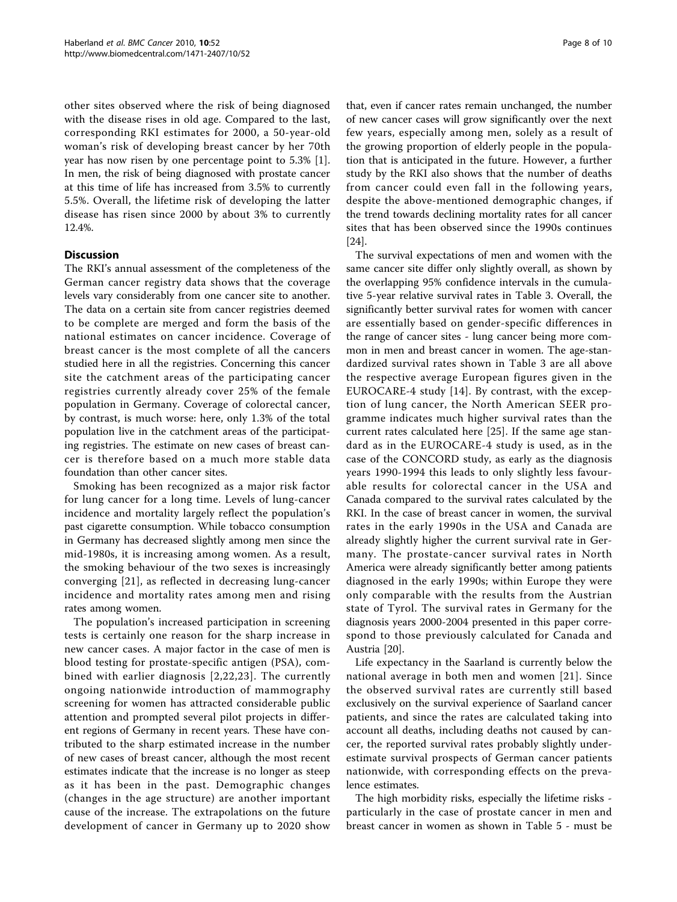other sites observed where the risk of being diagnosed with the disease rises in old age. Compared to the last, corresponding RKI estimates for 2000, a 50-year-old woman's risk of developing breast cancer by her 70th year has now risen by one percentage point to 5.3% [\[1](#page-8-0)]. In men, the risk of being diagnosed with prostate cancer at this time of life has increased from 3.5% to currently 5.5%. Overall, the lifetime risk of developing the latter disease has risen since 2000 by about 3% to currently 12.4%.

# **Discussion**

The RKI's annual assessment of the completeness of the German cancer registry data shows that the coverage levels vary considerably from one cancer site to another. The data on a certain site from cancer registries deemed to be complete are merged and form the basis of the national estimates on cancer incidence. Coverage of breast cancer is the most complete of all the cancers studied here in all the registries. Concerning this cancer site the catchment areas of the participating cancer registries currently already cover 25% of the female population in Germany. Coverage of colorectal cancer, by contrast, is much worse: here, only 1.3% of the total population live in the catchment areas of the participating registries. The estimate on new cases of breast cancer is therefore based on a much more stable data foundation than other cancer sites.

Smoking has been recognized as a major risk factor for lung cancer for a long time. Levels of lung-cancer incidence and mortality largely reflect the population's past cigarette consumption. While tobacco consumption in Germany has decreased slightly among men since the mid-1980s, it is increasing among women. As a result, the smoking behaviour of the two sexes is increasingly converging [[21\]](#page-9-0), as reflected in decreasing lung-cancer incidence and mortality rates among men and rising rates among women.

The population's increased participation in screening tests is certainly one reason for the sharp increase in new cancer cases. A major factor in the case of men is blood testing for prostate-specific antigen (PSA), combined with earlier diagnosis [[2](#page-8-0),[22,23\]](#page-9-0). The currently ongoing nationwide introduction of mammography screening for women has attracted considerable public attention and prompted several pilot projects in different regions of Germany in recent years. These have contributed to the sharp estimated increase in the number of new cases of breast cancer, although the most recent estimates indicate that the increase is no longer as steep as it has been in the past. Demographic changes (changes in the age structure) are another important cause of the increase. The extrapolations on the future development of cancer in Germany up to 2020 show

that, even if cancer rates remain unchanged, the number of new cancer cases will grow significantly over the next few years, especially among men, solely as a result of the growing proportion of elderly people in the population that is anticipated in the future. However, a further study by the RKI also shows that the number of deaths from cancer could even fall in the following years, despite the above-mentioned demographic changes, if the trend towards declining mortality rates for all cancer sites that has been observed since the 1990s continues [[24\]](#page-9-0).

The survival expectations of men and women with the same cancer site differ only slightly overall, as shown by the overlapping 95% confidence intervals in the cumulative 5-year relative survival rates in Table [3.](#page-5-0) Overall, the significantly better survival rates for women with cancer are essentially based on gender-specific differences in the range of cancer sites - lung cancer being more common in men and breast cancer in women. The age-standardized survival rates shown in Table [3](#page-5-0) are all above the respective average European figures given in the EUROCARE-4 study [[14](#page-8-0)]. By contrast, with the exception of lung cancer, the North American SEER programme indicates much higher survival rates than the current rates calculated here [\[25](#page-9-0)]. If the same age standard as in the EUROCARE-4 study is used, as in the case of the CONCORD study, as early as the diagnosis years 1990-1994 this leads to only slightly less favourable results for colorectal cancer in the USA and Canada compared to the survival rates calculated by the RKI. In the case of breast cancer in women, the survival rates in the early 1990s in the USA and Canada are already slightly higher the current survival rate in Germany. The prostate-cancer survival rates in North America were already significantly better among patients diagnosed in the early 1990s; within Europe they were only comparable with the results from the Austrian state of Tyrol. The survival rates in Germany for the diagnosis years 2000-2004 presented in this paper correspond to those previously calculated for Canada and Austria [[20\]](#page-8-0).

Life expectancy in the Saarland is currently below the national average in both men and women [[21](#page-9-0)]. Since the observed survival rates are currently still based exclusively on the survival experience of Saarland cancer patients, and since the rates are calculated taking into account all deaths, including deaths not caused by cancer, the reported survival rates probably slightly underestimate survival prospects of German cancer patients nationwide, with corresponding effects on the prevalence estimates.

The high morbidity risks, especially the lifetime risks particularly in the case of prostate cancer in men and breast cancer in women as shown in Table [5](#page-6-0) - must be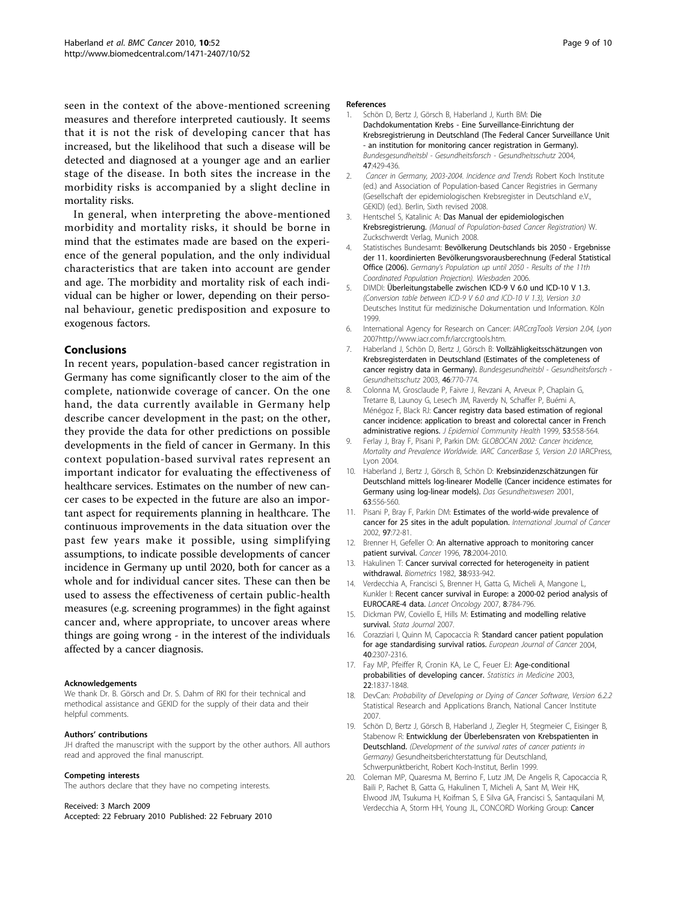<span id="page-8-0"></span>seen in the context of the above-mentioned screening measures and therefore interpreted cautiously. It seems that it is not the risk of developing cancer that has increased, but the likelihood that such a disease will be detected and diagnosed at a younger age and an earlier stage of the disease. In both sites the increase in the morbidity risks is accompanied by a slight decline in mortality risks.

In general, when interpreting the above-mentioned morbidity and mortality risks, it should be borne in mind that the estimates made are based on the experience of the general population, and the only individual characteristics that are taken into account are gender and age. The morbidity and mortality risk of each individual can be higher or lower, depending on their personal behaviour, genetic predisposition and exposure to exogenous factors.

# Conclusions

In recent years, population-based cancer registration in Germany has come significantly closer to the aim of the complete, nationwide coverage of cancer. On the one hand, the data currently available in Germany help describe cancer development in the past; on the other, they provide the data for other predictions on possible developments in the field of cancer in Germany. In this context population-based survival rates represent an important indicator for evaluating the effectiveness of healthcare services. Estimates on the number of new cancer cases to be expected in the future are also an important aspect for requirements planning in healthcare. The continuous improvements in the data situation over the past few years make it possible, using simplifying assumptions, to indicate possible developments of cancer incidence in Germany up until 2020, both for cancer as a whole and for individual cancer sites. These can then be used to assess the effectiveness of certain public-health measures (e.g. screening programmes) in the fight against cancer and, where appropriate, to uncover areas where things are going wrong - in the interest of the individuals affected by a cancer diagnosis.

#### Acknowledgements

We thank Dr. B. Görsch and Dr. S. Dahm of RKI for their technical and methodical assistance and GEKID for the supply of their data and their helpful comments.

#### Authors' contributions

JH drafted the manuscript with the support by the other authors. All authors read and approved the final manuscript.

#### Competing interests

The authors declare that they have no competing interests.

#### Received: 3 March 2009

Accepted: 22 February 2010 Published: 22 February 2010

#### References

- 1. Schön D, Bertz J, Görsch B, Haberland J, Kurth BM: Die Dachdokumentation Krebs - Eine Surveillance-Einrichtung der Krebsregistrierung in Deutschland (The Federal Cancer Surveillance Unit - an institution for monitoring cancer registration in Germany). Bundesgesundheitsbl - Gesundheitsforsch - Gesundheitsschutz 2004, 47:429-436.
- 2. Cancer in Germany, 2003-2004. Incidence and Trends Robert Koch Institute (ed.) and Association of Population-based Cancer Registries in Germany (Gesellschaft der epidemiologischen Krebsregister in Deutschland e.V., GEKID) (ed.). Berlin, Sixth revised 2008.
- 3. Hentschel S, Katalinic A: Das Manual der epidemiologischen Krebsregistrierung. (Manual of Population-based Cancer Registration) W. Zuckschwerdt Verlag, Munich 2008.
- 4. Statistisches Bundesamt: Bevölkerung Deutschlands bis 2050 Ergebnisse der 11. koordinierten Bevölkerungsvorausberechnung (Federal Statistical Office (2006). Germany's Population up until 2050 - Results of the 11th Coordinated Population Projection). Wiesbaden 2006.
- 5. DIMDI: Überleitungstabelle zwischen ICD-9 V 6.0 und ICD-10 V 1.3. (Conversion table between ICD-9 V 6.0 and ICD-10 V 1.3), Version 3.0 Deutsches Institut für medizinische Dokumentation und Information. Köln 1999.
- 6. International Agency for Research on Cancer: IARCcrgTools Version 2.04, Lyon 200[7http://www.iacr.com.fr/iarccrgtools.htm](http://www.iacr.com.fr/iarccrgtools.htm).
- 7. Haberland J, Schön D, Bertz J, Görsch B: Vollzähligkeitsschätzungen von Krebsregisterdaten in Deutschland (Estimates of the completeness of cancer registry data in Germany). Bundesgesundheitsbl - Gesundheitsforsch -Gesundheitsschutz 2003, 46:770-774.
- 8. Colonna M, Grosclaude P, Faivre J, Revzani A, Arveux P, Chaplain G, Tretarre B, Launoy G, Lesec'h JM, Raverdy N, Schaffer P, Buémi A, Ménégoz F, Black RJ: [Cancer registry data based estimation of regional](http://www.ncbi.nlm.nih.gov/pubmed/10562880?dopt=Abstract) [cancer incidence: application to breast and colorectal cancer in French](http://www.ncbi.nlm.nih.gov/pubmed/10562880?dopt=Abstract) [administrative regions.](http://www.ncbi.nlm.nih.gov/pubmed/10562880?dopt=Abstract) J Epidemiol Community Health 1999, 53:558-564.
- 9. Ferlay J, Bray F, Pisani P, Parkin DM: GLOBOCAN 2002: Cancer Incidence, Mortality and Prevalence Worldwide. IARC CancerBase 5, Version 2.0 IARCPress, Lyon 2004.
- 10. Haberland J, Bertz J, Görsch B, Schön D: [Krebsinzidenzschätzungen für](http://www.ncbi.nlm.nih.gov/pubmed/11561205?dopt=Abstract) [Deutschland mittels log-linearer Modelle \(Cancer incidence estimates for](http://www.ncbi.nlm.nih.gov/pubmed/11561205?dopt=Abstract) [Germany using log-linear models\).](http://www.ncbi.nlm.nih.gov/pubmed/11561205?dopt=Abstract) Das Gesundheitswesen 2001, 63:556-560.
- 11. Pisani P, Bray F, Parkin DM: Estimates of the world-wide prevalence of cancer for 25 sites in the adult population. International Journal of Cancer 2002, 97:72-81.
- 12. Brenner H, Gefeller O: [An alternative approach to monitoring cancer](http://www.ncbi.nlm.nih.gov/pubmed/8909323?dopt=Abstract) [patient survival.](http://www.ncbi.nlm.nih.gov/pubmed/8909323?dopt=Abstract) Cancer 1996, 78:2004-2010.
- 13. Hakulinen T: [Cancer survival corrected for heterogeneity in patient](http://www.ncbi.nlm.nih.gov/pubmed/7168796?dopt=Abstract) [withdrawal.](http://www.ncbi.nlm.nih.gov/pubmed/7168796?dopt=Abstract) Biometrics 1982, 38:933-942.
- 14. Verdecchia A, Francisci S, Brenner H, Gatta G, Micheli A, Mangone L, Kunkler I: [Recent cancer survival in Europe: a 2000-02 period analysis of](http://www.ncbi.nlm.nih.gov/pubmed/17714993?dopt=Abstract) [EUROCARE-4 data.](http://www.ncbi.nlm.nih.gov/pubmed/17714993?dopt=Abstract) Lancet Oncology 2007, 8:784-796.
- 15. Dickman PW, Coviello E, Hills M: Estimating and modelling relative survival. Stata Journal 2007.
- 16. Corazziari I, Quinn M, Capocaccia R: [Standard cancer patient population](http://www.ncbi.nlm.nih.gov/pubmed/15454257?dopt=Abstract) [for age standardising survival ratios.](http://www.ncbi.nlm.nih.gov/pubmed/15454257?dopt=Abstract) European Journal of Cancer 2004, 40:2307-2316.
- 17. Fay MP, Pfeiffer R, Cronin KA, Le C, Feuer EJ: [Age-conditional](http://www.ncbi.nlm.nih.gov/pubmed/12754719?dopt=Abstract) [probabilities of developing cancer.](http://www.ncbi.nlm.nih.gov/pubmed/12754719?dopt=Abstract) Statistics in Medicine 2003, 22:1837-1848.
- 18. DevCan: Probability of Developing or Dying of Cancer Software, Version 6.2.2 Statistical Research and Applications Branch, National Cancer Institute 2007.
- 19. Schön D, Bertz J, Görsch B, Haberland J, Ziegler H, Stegmeier C, Eisinger B, Stabenow R: Entwicklung der Überlebensraten von Krebspatienten in Deutschland. (Development of the survival rates of cancer patients in Germany) Gesundheitsberichterstattung für Deutschland, Schwerpunktbericht, Robert Koch-Institut, Berlin 1999.
- 20. Coleman MP, Quaresma M, Berrino F, Lutz JM, De Angelis R, Capocaccia R, Baili P, Rachet B, Gatta G, Hakulinen T, Micheli A, Sant M, Weir HK, Elwood JM, Tsukuma H, Koifman S, E Silva GA, Francisci S, Santaquilani M, Verdecchia A, Storm HH, Young JL, CONCORD Working Group: [Cancer](http://www.ncbi.nlm.nih.gov/pubmed/18639491?dopt=Abstract)